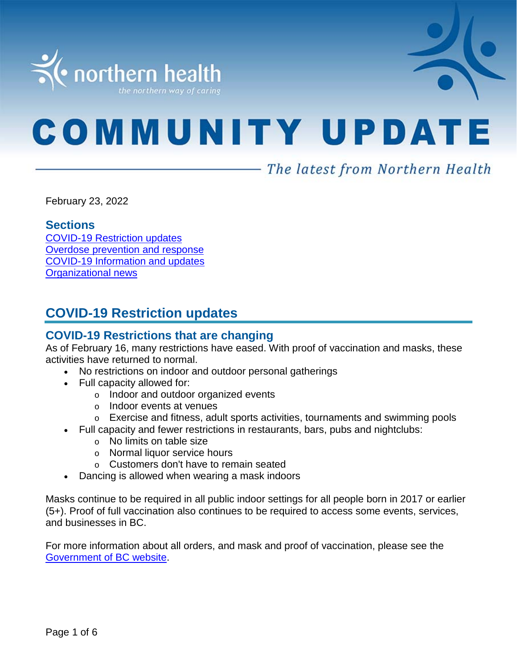

# **COMMUNITY UPDATE**

# - The latest from Northern Health

February 23, 2022

#### **Sections**

COVID-19 [Restriction updates](#page-0-0) [Overdose prevention and response](#page-1-0) [COVID-19 Information and updates](#page-1-0) [Organizational news](#page-5-0)

# <span id="page-0-0"></span>**COVID-19 Restriction updates**

## **COVID-19 Restrictions that are changing**

As of February 16, many restrictions have eased. With proof of vaccination and masks, these activities have returned to normal.

- No restrictions on indoor and outdoor personal gatherings
- Full capacity allowed for:
	- o Indoor and outdoor organized events
	- o Indoor events at venues
	- o Exercise and fitness, adult sports activities, tournaments and swimming pools
	- Full capacity and fewer restrictions in restaurants, bars, pubs and nightclubs:
		- o No limits on table size
		- o Normal liquor service hours
		- o Customers don't have to remain seated
- Dancing is allowed when wearing a mask indoors

Masks continue to be required in all public indoor settings for all people born in 2017 or earlier (5+). Proof of full vaccination also continues to be required to access some events, services, and businesses in BC.

For more information about all orders, and mask and proof of vaccination, please see the [Government of BC website.](https://www2.gov.bc.ca/gov/content/covid-19/info/restrictions#changes)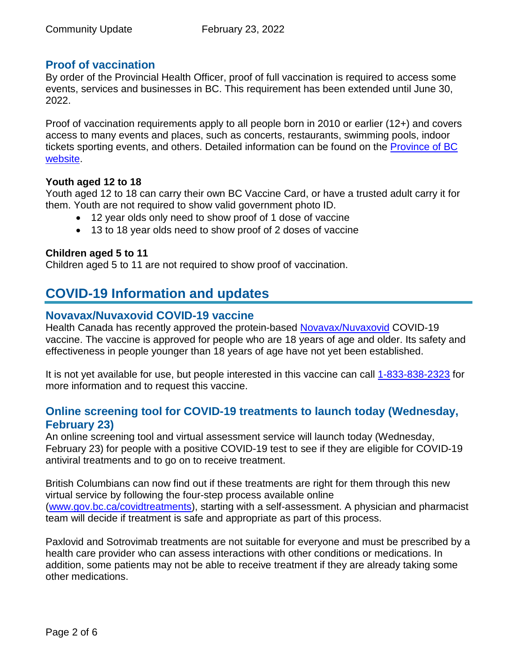## **Proof of vaccination**

By order of the Provincial Health Officer, proof of full vaccination is required to access some events, services and businesses in BC. This requirement has been extended until June 30, 2022.

Proof of vaccination requirements apply to all people born in 2010 or earlier (12+) and covers access to many events and places, such as concerts, restaurants, swimming pools, indoor tickets sporting events, and others. Detailed information can be found on the **Province of BC** [website.](https://www2.gov.bc.ca/gov/content/covid-19/vaccine/proof)

#### **Youth aged 12 to 18**

Youth aged 12 to 18 can carry their own BC Vaccine Card, or have a trusted adult carry it for them. Youth are not required to show valid government photo ID.

- 12 year olds only need to show proof of 1 dose of vaccine
- 13 to 18 year olds need to show proof of 2 doses of vaccine

#### **Children aged 5 to 11**

<span id="page-1-0"></span>Children aged 5 to 11 are not required to show proof of vaccination.

# **COVID-19 Information and updates**

## **Novavax/Nuvaxovid COVID-19 vaccine**

Health Canada has recently approved the protein-based [Novavax/Nuvaxovid](https://www.canada.ca/en/health-canada/services/drugs-health-products/covid19-industry/drugs-vaccines-treatments/vaccines/novavax.html) COVID-19 vaccine. The vaccine is approved for people who are 18 years of age and older. Its safety and effectiveness in people younger than 18 years of age have not yet been established.

It is not yet available for use, but people interested in this vaccine can call [1-833-838-2323](https://www2.gov.bc.ca/gov/content/covid-19/vaccine) for more information and to request this vaccine.

## **Online screening tool for COVID-19 treatments to launch today (Wednesday, February 23)**

An online screening tool and virtual assessment service will launch today (Wednesday, February 23) for people with a positive COVID-19 test to see if they are eligible for COVID-19 antiviral treatments and to go on to receive treatment.

British Columbians can now find out if these treatments are right for them through this new virtual service by following the four-step process available online [\(www.gov.bc.ca/covidtreatments\)](http://www.gov.bc.ca/covidtreatments), starting with a self-assessment. A physician and pharmacist team will decide if treatment is safe and appropriate as part of this process.

Paxlovid and Sotrovimab treatments are not suitable for everyone and must be prescribed by a health care provider who can assess interactions with other conditions or medications. In addition, some patients may not be able to receive treatment if they are already taking some other medications.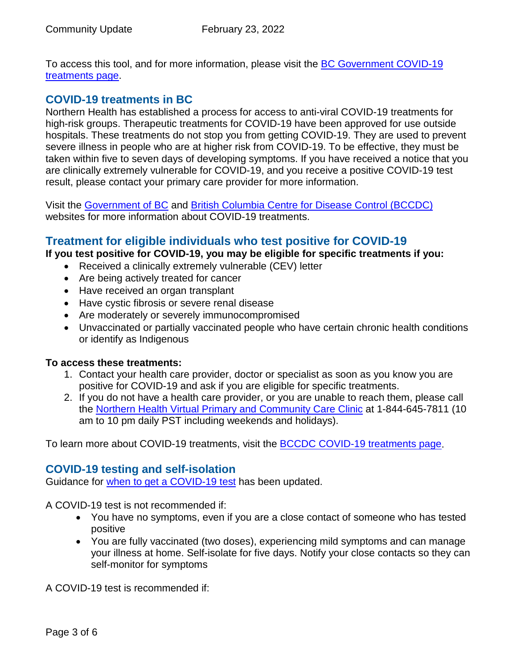To access this tool, and for more information, please visit the [BC Government COVID-19](http://www.gov.bc.ca/covidtreatments)  [treatments page.](http://www.gov.bc.ca/covidtreatments)

#### **COVID-19 treatments in BC**

Northern Health has established a process for access to anti-viral COVID-19 treatments for high-risk groups. Therapeutic treatments for COVID-19 have been approved for use outside hospitals. These treatments do not stop you from getting COVID-19. They are used to prevent severe illness in people who are at higher risk from COVID-19. To be effective, they must be taken within five to seven days of developing symptoms. If you have received a notice that you are clinically extremely vulnerable for COVID-19, and you receive a positive COVID-19 test result, please contact your primary care provider for more information.

Visit the [Government of BC](https://www2.gov.bc.ca/gov/content/covid-19/vaccine/treatments) and [British Columbia Centre for Disease Control \(BCCDC\)](http://www.bccdc.ca/health-info/diseases-conditions/covid-19/about-covid-19/treatments) websites for more information about COVID-19 treatments.

## **Treatment for eligible individuals who test positive for COVID-19**

**If you test positive for COVID-19, you may be eligible for specific treatments if you:** 

- Received a clinically extremely vulnerable (CEV) letter
- Are being actively treated for cancer
- Have received an organ transplant
- Have cystic fibrosis or severe renal disease
- Are moderately or severely immunocompromised
- Unvaccinated or partially vaccinated people who have certain chronic health conditions or identify as Indigenous

#### **To access these treatments:**

- 1. Contact your health care provider, doctor or specialist as soon as you know you are positive for COVID-19 and ask if you are eligible for specific treatments.
- 2. If you do not have a health care provider, or you are unable to reach them, please call the [Northern Health Virtual Primary and Community Care Clinic](https://www.northernhealth.ca/locations/medical-clinics/virtual-clinic) at 1-844-645-7811 (10 am to 10 pm daily PST including weekends and holidays).

To learn more about COVID-19 treatments, visit the **BCCDC COVID-19 treatments page**.

#### **COVID-19 testing and self-isolation**

Guidance for [when to get a COVID-19 test](https://bc.thrive.health/) has been updated.

A COVID-19 test is not recommended if:

- You have no symptoms, even if you are a close contact of someone who has tested positive
- You are fully vaccinated (two doses), experiencing mild symptoms and can manage your illness at home. Self-isolate for five days. Notify your close contacts so they can self-monitor for symptoms

A COVID-19 test is recommended if: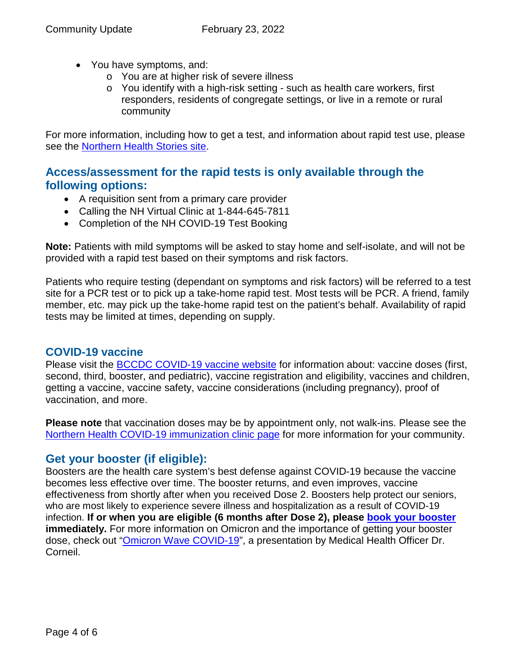- You have symptoms, and:
	- o You are at higher risk of severe illness
	- o You identify with a high-risk setting such as health care workers, first responders, residents of congregate settings, or live in a remote or rural community

For more information, including how to get a test, and information about rapid test use, please see the [Northern Health Stories site.](https://stories.northernhealth.ca/news/when-get-covid-19-test-updated-guidelines)

## **Access/assessment for the rapid tests is only available through the following options:**

- A requisition sent from a primary care provider
- Calling the NH Virtual Clinic at 1-844-645-7811
- Completion of the NH COVID-19 Test Booking

**Note:** Patients with mild symptoms will be asked to stay home and self-isolate, and will not be provided with a rapid test based on their symptoms and risk factors.

Patients who require testing (dependant on symptoms and risk factors) will be referred to a test site for a PCR test or to pick up a take-home rapid test. Most tests will be PCR. A friend, family member, etc. may pick up the take-home rapid test on the patient's behalf. Availability of rapid tests may be limited at times, depending on supply.

## **COVID-19 vaccine**

Please visit the [BCCDC COVID-19 vaccine website](http://www.bccdc.ca/health-info/diseases-conditions/covid-19/covid-19-vaccine) for information about: vaccine doses (first, second, third, booster, and pediatric), vaccine registration and eligibility, vaccines and children, getting a vaccine, vaccine safety, vaccine considerations (including pregnancy), proof of vaccination, and more.

**Please note** that vaccination doses may be by appointment only, not walk-ins. Please see the [Northern Health COVID-19 immunization clinic page](https://www.northernhealth.ca/health-topics/covid-19-immunization-clinics) for more information for your community.

## **Get your booster (if eligible):**

Boosters are the health care system's best defense against COVID-19 because the vaccine becomes less effective over time. The booster returns, and even improves, vaccine effectiveness from shortly after when you received Dose 2. Boosters help protect our seniors, who are most likely to experience severe illness and hospitalization as a result of COVID-19 infection. **If or when you are eligible (6 months after Dose 2), please [book your booster](https://www.getvaccinated.gov.bc.ca/s/) immediately.** For more information on Omicron and the importance of getting your booster dose, check out ["Omicron Wave COVID-19"](https://youtu.be/Dm_lvD2_wEg), a presentation by Medical Health Officer Dr. Corneil.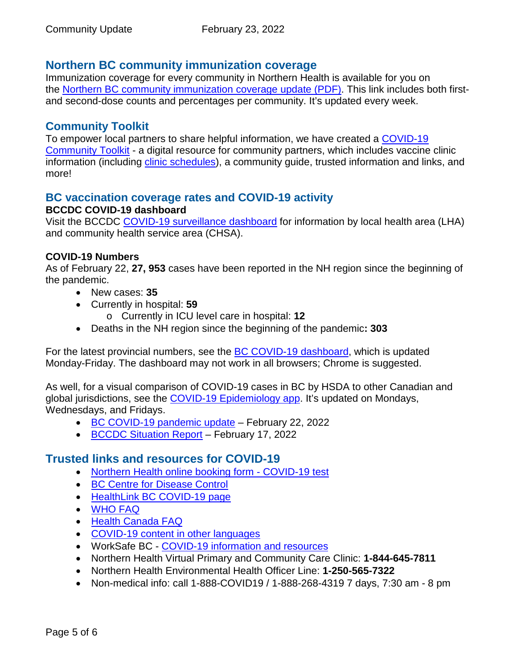## **Northern BC community immunization coverage**

Immunization coverage for every community in Northern Health is available for you on the [Northern BC community immunization coverage update](https://www.northernhealth.ca/sites/northern_health/files/health-information/health-topics/vaccine/documents/northern-bc-immunization-coverage.pdf) (PDF). This link includes both firstand second-dose counts and percentages per community. It's updated every week.

### **Community Toolkit**

To empower local partners to share helpful information, we have created a COVID-19 [Community Toolkit](https://www.northernhealth.ca/health-topics/covid-19-vaccine-plan/covid-19-community-toolkit) - a digital resource for community partners, which includes vaccine clinic information (including [clinic schedules\)](https://www.northernhealth.ca/health-topics/covid-19-immunization-clinics), a community guide, trusted information and links, and more!

#### **BC vaccination coverage rates and COVID-19 activity BCCDC COVID-19 dashboard**

Visit the BCCDC [COVID-19 surveillance dashboard](https://public.tableau.com/app/profile/bccdc/viz/BCCDCCOVID-19SurveillanceDashboard/Introduction) for information by local health area (LHA) and community health service area (CHSA).

#### **COVID-19 Numbers**

As of February 22, **27, 953** cases have been reported in the NH region since the beginning of the pandemic.

- New cases: **35**
- Currently in hospital: **59**
	- o Currently in ICU level care in hospital: **12**
- Deaths in the NH region since the beginning of the pandemic**: 303**

For the latest provincial numbers, see the **BC COVID-19 dashboard**, which is updated Monday-Friday. The dashboard may not work in all browsers; Chrome is suggested.

As well, for a visual comparison of COVID-19 cases in BC by HSDA to other Canadian and global jurisdictions, see the [COVID-19 Epidemiology app.](https://bccdc.shinyapps.io/covid19_global_epi_app/) It's updated on Mondays, Wednesdays, and Fridays.

- [BC COVID-19 pandemic update](https://news.gov.bc.ca/releases/2022HLTH0062-000252) February 22, 2022
- [BCCDC Situation Report](http://www.bccdc.ca/Health-Info-Site/Documents/COVID_sitrep/Week_5_2022_BC_COVID-19_Situation_Report.pdf) February 17, 2022

## **Trusted links and resources for COVID-19**

- [Northern Health online booking form -](https://northernhealthcovid.secureform.ca/index.php) COVID-19 test
- [BC Centre for Disease Control](http://www.bccdc.ca/health-professionals/clinical-resources/covid-19-care)
- [HealthLink BC COVID-19 page](https://www.healthlinkbc.ca/health-feature/coronavirus-disease-covid-19)
- [WHO FAQ](https://www.who.int/news-room/q-a-detail/q-a-coronaviruses)
- [Health Canada FAQ](https://www.canada.ca/en/public-health/services/diseases/2019-novel-coronavirus-infection/canadas-reponse.html)
- [COVID-19 content in other languages](http://www.bccdc.ca/health-info/diseases-conditions/covid-19/about-covid-19/translated-content)
- WorkSafe BC [COVID-19 information and resources](https://www.worksafebc.com/en/covid-19)
- Northern Health Virtual Primary and Community Care Clinic: **1-844-645-7811**
- Northern Health Environmental Health Officer Line: **1-250-565-7322**
- Non-medical info: call 1-888-COVID19 / 1-888-268-4319 7 days, 7:30 am 8 pm